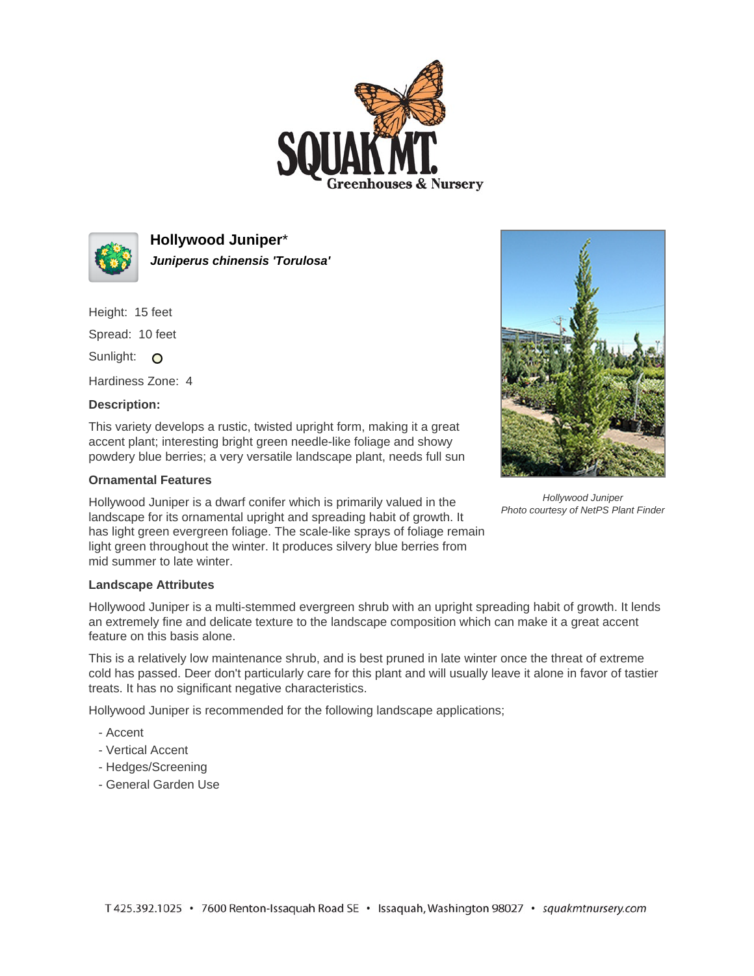



**Hollywood Juniper**\* **Juniperus chinensis 'Torulosa'**

Height: 15 feet Spread: 10 feet

Sunlight: O

Hardiness Zone: 4

## **Description:**

This variety develops a rustic, twisted upright form, making it a great accent plant; interesting bright green needle-like foliage and showy powdery blue berries; a very versatile landscape plant, needs full sun

## **Ornamental Features**

Hollywood Juniper is a dwarf conifer which is primarily valued in the landscape for its ornamental upright and spreading habit of growth. It has light green evergreen foliage. The scale-like sprays of foliage remain light green throughout the winter. It produces silvery blue berries from mid summer to late winter.



Hollywood Juniper Photo courtesy of NetPS Plant Finder

## **Landscape Attributes**

Hollywood Juniper is a multi-stemmed evergreen shrub with an upright spreading habit of growth. It lends an extremely fine and delicate texture to the landscape composition which can make it a great accent feature on this basis alone.

This is a relatively low maintenance shrub, and is best pruned in late winter once the threat of extreme cold has passed. Deer don't particularly care for this plant and will usually leave it alone in favor of tastier treats. It has no significant negative characteristics.

Hollywood Juniper is recommended for the following landscape applications;

- Accent
- Vertical Accent
- Hedges/Screening
- General Garden Use